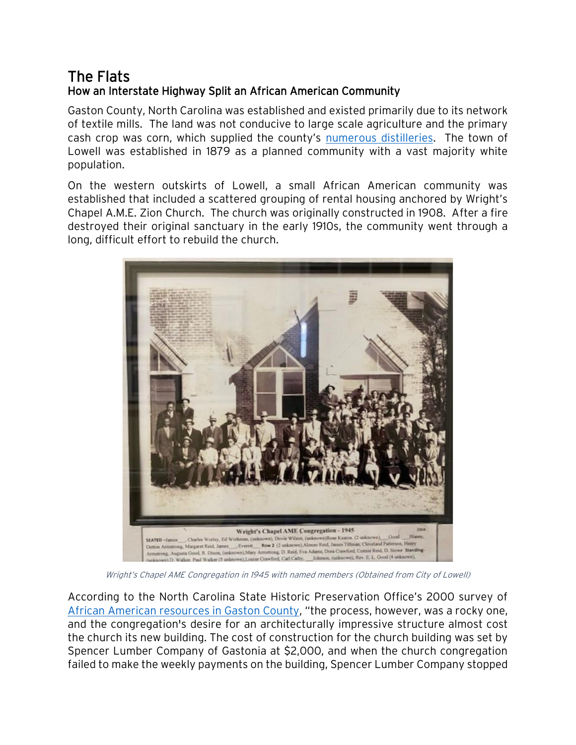## The Flats How an Interstate Highway Split an African American Community

Gaston County, North Carolina was established and existed primarily due to its network of textile mills. The land was not conducive to large scale agriculture and the primary cash crop was corn, which supplied the county's [numerous distilleries.](http://www.ncgenweb.us/gaston/early.htm) The town of Lowell was established in 1879 as a planned community with a vast majority white population.

On the western outskirts of Lowell, a small African American community was established that included a scattered grouping of rental housing anchored by Wright's Chapel A.M.E. Zion Church. The church was originally constructed in 1908. After a fire destroyed their original sanctuary in the early 1910s, the community went through a long, difficult effort to rebuild the church.



Wright's Chapel AME Congregation in 1945 with named members (Obtained from City of Lowell)

According to the North Carolina State Historic Preservation Office's 2000 survey of African [American resources in Gaston County](https://files.nc.gov/ncdcr/historic-preservation-office/survey-and-national-register/surveyreports/GastonCountyAfricanAmericanResourcesSurvey-2000.pdf), "the process, however, was a rocky one, and the congregation's desire for an architecturally impressive structure almost cost the church its new building. The cost of construction for the church building was set by Spencer Lumber Company of Gastonia at \$2,000, and when the church congregation failed to make the weekly payments on the building, Spencer Lumber Company stopped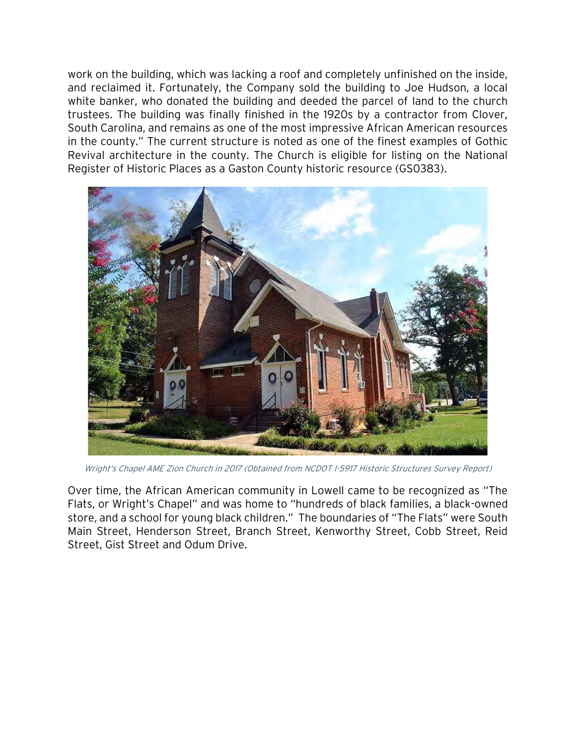work on the building, which was lacking a roof and completely unfinished on the inside, and reclaimed it. Fortunately, the Company sold the building to Joe Hudson, a local white banker, who donated the building and deeded the parcel of land to the church trustees. The building was finally finished in the 1920s by a contractor from Clover, South Carolina, and remains as one of the most impressive African American resources in the county." The current structure is noted as one of the finest examples of Gothic Revival architecture in the county. The Church is eligible for listing on the National Register of Historic Places as a Gaston County historic resource (GS0383).



Wright's Chapel AME Zion Church in 2017 (Obtained from NCDOT I-5917 Historic Structures Survey Report)

Over time, the African American community in Lowell came to be recognized as "The Flats, or Wright's Chapel" and was home to "hundreds of black families, a black-owned store, and a school for young black children." The boundaries of "The Flats" were South Main Street, Henderson Street, Branch Street, Kenworthy Street, Cobb Street, Reid Street, Gist Street and Odum Drive.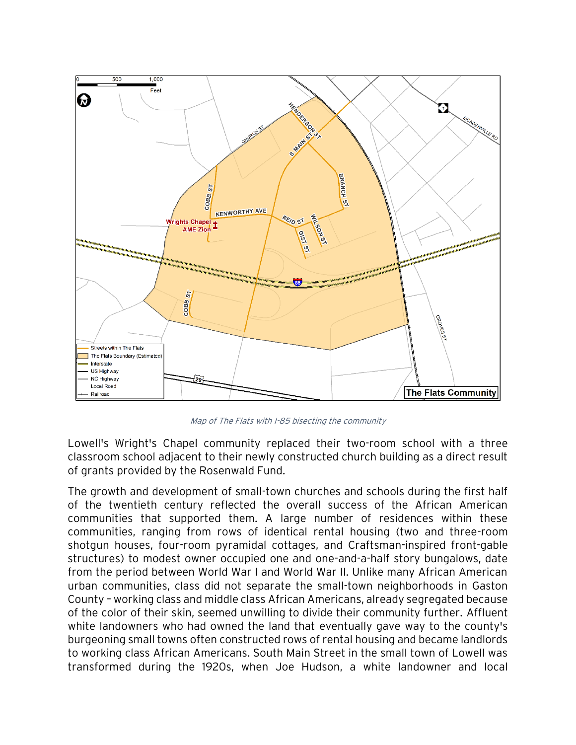

Map of The Flats with I-85 bisecting the community

Lowell's Wright's Chapel community replaced their two-room school with a three classroom school adjacent to their newly constructed church building as a direct result of grants provided by the Rosenwald Fund.

The growth and development of small-town churches and schools during the first half of the twentieth century reflected the overall success of the African American communities that supported them. A large number of residences within these communities, ranging from rows of identical rental housing (two and three-room shotgun houses, four-room pyramidal cottages, and Craftsman-inspired front-gable structures) to modest owner occupied one and one-and-a-half story bungalows, date from the period between World War I and World War II. Unlike many African American urban communities, class did not separate the small-town neighborhoods in Gaston County – working class and middle class African Americans, already segregated because of the color of their skin, seemed unwilling to divide their community further. Affluent white landowners who had owned the land that eventually gave way to the county's burgeoning small towns often constructed rows of rental housing and became landlords to working class African Americans. South Main Street in the small town of Lowell was transformed during the 1920s, when Joe Hudson, a white landowner and local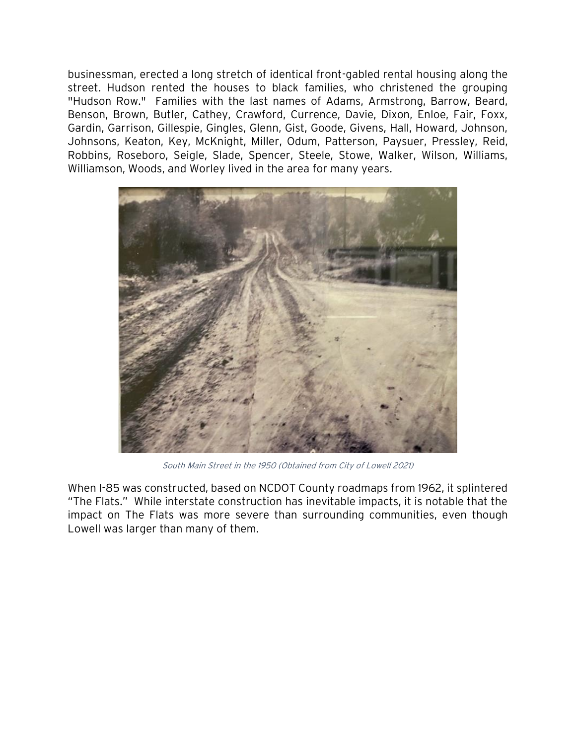businessman, erected a long stretch of identical front-gabled rental housing along the street. Hudson rented the houses to black families, who christened the grouping "Hudson Row." Families with the last names of Adams, Armstrong, Barrow, Beard, Benson, Brown, Butler, Cathey, Crawford, Currence, Davie, Dixon, Enloe, Fair, Foxx, Gardin, Garrison, Gillespie, Gingles, Glenn, Gist, Goode, Givens, Hall, Howard, Johnson, Johnsons, Keaton, Key, McKnight, Miller, Odum, Patterson, Paysuer, Pressley, Reid, Robbins, Roseboro, Seigle, Slade, Spencer, Steele, Stowe, Walker, Wilson, Williams, Williamson, Woods, and Worley lived in the area for many years.



South Main Street in the 1950 (Obtained from City of Lowell 2021)

When I-85 was constructed, based on NCDOT County roadmaps from 1962, it splintered "The Flats." While interstate construction has inevitable impacts, it is notable that the impact on The Flats was more severe than surrounding communities, even though Lowell was larger than many of them.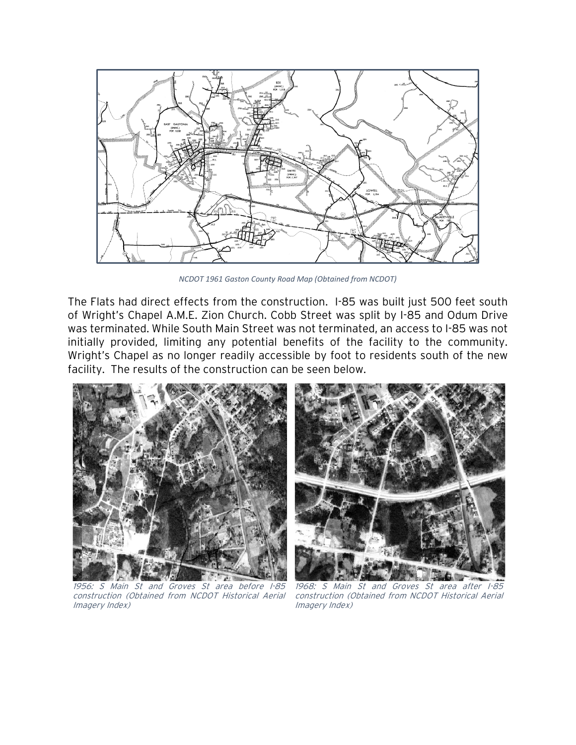

*NCDOT 1961 Gaston County Road Map (Obtained from NCDOT)*

The Flats had direct effects from the construction. I-85 was built just 500 feet south of Wright's Chapel A.M.E. Zion Church. Cobb Street was split by I-85 and Odum Drive was terminated. While South Main Street was not terminated, an access to I-85 was not initially provided, limiting any potential benefits of the facility to the community. Wright's Chapel as no longer readily accessible by foot to residents south of the new facility. The results of the construction can be seen below.



1956: S Main St and Groves St area before I-85 construction (Obtained from NCDOT Historical Aerial Imagery Index)



1968: S Main St and Groves St area after I-85 construction (Obtained from NCDOT Historical Aerial Imagery Index)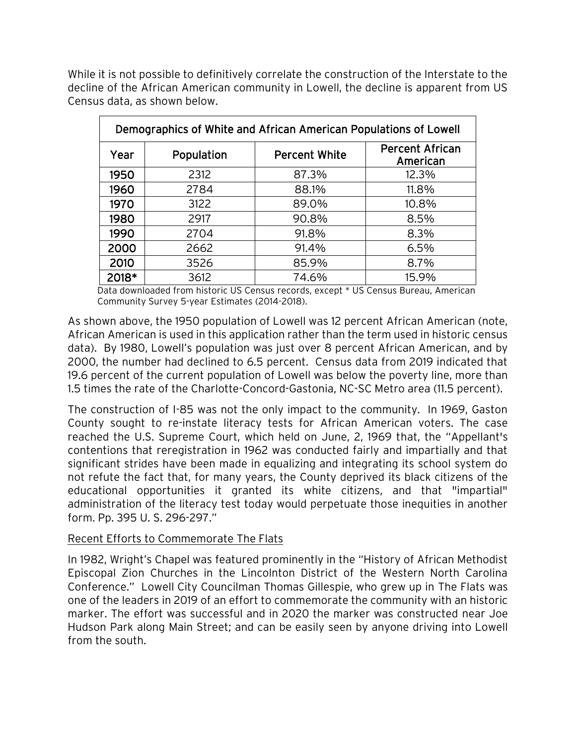While it is not possible to definitively correlate the construction of the Interstate to the decline of the African American community in Lowell, the decline is apparent from US Census data, as shown below.

| Demographics of White and African American Populations of Lowell |            |                      |                                    |
|------------------------------------------------------------------|------------|----------------------|------------------------------------|
| Year                                                             | Population | <b>Percent White</b> | <b>Percent African</b><br>American |
| 1950                                                             | 2312       | 87.3%                | 12.3%                              |
| 1960                                                             | 2784       | 88.1%                | 11.8%                              |
| 1970                                                             | 3122       | 89.0%                | 10.8%                              |
| 1980                                                             | 2917       | 90.8%                | 8.5%                               |
| 1990                                                             | 2704       | 91.8%                | 8.3%                               |
| 2000                                                             | 2662       | 91.4%                | 6.5%                               |
| 2010                                                             | 3526       | 85.9%                | 8.7%                               |
| 2018*                                                            | 3612       | 74.6%                | 15.9%                              |

Data downloaded from historic US Census records, except \* US Census Bureau, American Community Survey 5-year Estimates (2014-2018).

As shown above, the 1950 population of Lowell was 12 percent African American (note, African American is used in this application rather than the term used in historic census data). By 1980, Lowell's population was just over 8 percent African American, and by 2000, the number had declined to 6.5 percent. Census data from 2019 indicated that 19.6 percent of the current population of Lowell was below the poverty line, more than 1.5 times the rate of the Charlotte-Concord-Gastonia, NC-SC Metro area (11.5 percent).

The construction of I-85 was not the only impact to the community. In 1969, Gaston County sought to re-instate literacy tests for African American voters. The case reached the U.S. Supreme Court, which held on June, 2, 1969 that, the "Appellant's contentions that reregistration in 1962 was conducted fairly and impartially and that significant strides have been made in equalizing and integrating its school system do not refute the fact that, for many years, the County deprived its black citizens of the educational opportunities it granted its white citizens, and that "impartial" administration of the literacy test today would perpetuate those inequities in another form. Pp. 395 U. S. 296-297."

## Recent Efforts to Commemorate The Flats

In 1982, Wright's Chapel was featured prominently in the "History of African Methodist Episcopal Zion Churches in the Lincolnton District of the Western North Carolina Conference." Lowell City Councilman Thomas Gillespie, who grew up in The Flats was one of the leaders in 2019 of an effort to commemorate the community with an historic marker. The effort was successful and in 2020 the marker was constructed near Joe Hudson Park along Main Street; and can be easily seen by anyone driving into Lowell from the south.